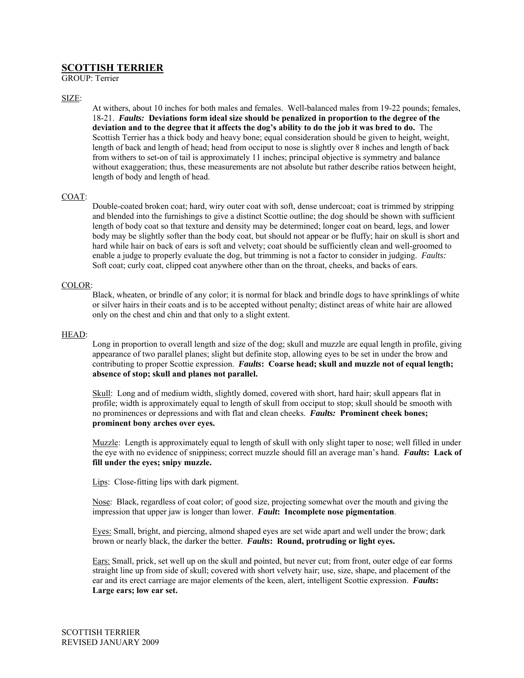# **SCOTTISH TERRIER** GROUP: Terrier

### SIZE:

At withers, about 10 inches for both males and females. Well-balanced males from 19-22 pounds; females, 18-21. *Faults:* **Deviations form ideal size should be penalized in proportion to the degree of the deviation and to the degree that it affects the dog's ability to do the job it was bred to do.** The Scottish Terrier has a thick body and heavy bone; equal consideration should be given to height, weight, length of back and length of head; head from occiput to nose is slightly over 8 inches and length of back from withers to set-on of tail is approximately 11 inches; principal objective is symmetry and balance without exaggeration; thus, these measurements are not absolute but rather describe ratios between height, length of body and length of head.

#### COAT:

Double-coated broken coat; hard, wiry outer coat with soft, dense undercoat; coat is trimmed by stripping and blended into the furnishings to give a distinct Scottie outline; the dog should be shown with sufficient length of body coat so that texture and density may be determined; longer coat on beard, legs, and lower body may be slightly softer than the body coat, but should not appear or be fluffy; hair on skull is short and hard while hair on back of ears is soft and velvety; coat should be sufficiently clean and well-groomed to enable a judge to properly evaluate the dog, but trimming is not a factor to consider in judging. *Faults:*  Soft coat; curly coat, clipped coat anywhere other than on the throat, cheeks, and backs of ears.

#### COLOR:

Black, wheaten, or brindle of any color; it is normal for black and brindle dogs to have sprinklings of white or silver hairs in their coats and is to be accepted without penalty; distinct areas of white hair are allowed only on the chest and chin and that only to a slight extent.

#### HEAD:

Long in proportion to overall length and size of the dog; skull and muzzle are equal length in profile, giving appearance of two parallel planes; slight but definite stop, allowing eyes to be set in under the brow and contributing to proper Scottie expression. *Faults***: Coarse head; skull and muzzle not of equal length; absence of stop; skull and planes not parallel.** 

Skull: Long and of medium width, slightly domed, covered with short, hard hair; skull appears flat in profile; width is approximately equal to length of skull from occiput to stop; skull should be smooth with no prominences or depressions and with flat and clean cheeks. *Faults:* **Prominent cheek bones; prominent bony arches over eyes.**

Muzzle: Length is approximately equal to length of skull with only slight taper to nose; well filled in under the eye with no evidence of snippiness; correct muzzle should fill an average man's hand. *Faults***: Lack of fill under the eyes; snipy muzzle.** 

Lips: Close-fitting lips with dark pigment.

Nose: Black, regardless of coat color; of good size, projecting somewhat over the mouth and giving the impression that upper jaw is longer than lower. *Fault***: Incomplete nose pigmentation**.

Eyes: Small, bright, and piercing, almond shaped eyes are set wide apart and well under the brow; dark brown or nearly black, the darker the better. *Faults***: Round, protruding or light eyes.**

Ears: Small, prick, set well up on the skull and pointed, but never cut; from front, outer edge of ear forms straight line up from side of skull; covered with short velvety hair; use, size, shape, and placement of the ear and its erect carriage are major elements of the keen, alert, intelligent Scottie expression. *Faults***: Large ears; low ear set.**